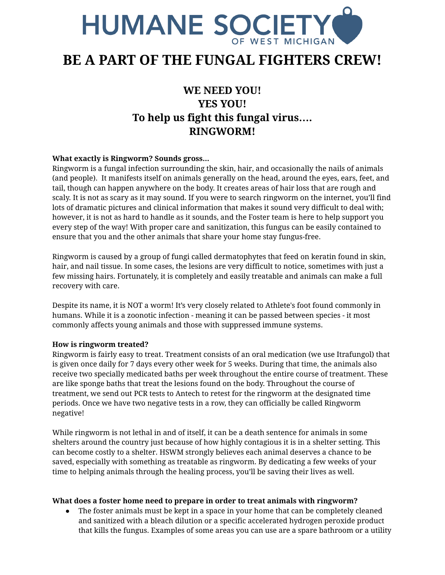

# **BE A PART OF THE FUNGAL FIGHTERS CREW!**

# **WE NEED YOU! YES YOU! To help us fight this fungal virus…. RINGWORM!**

## **What exactly is Ringworm? Sounds gross...**

Ringworm is a fungal infection surrounding the skin, hair, and occasionally the nails of animals (and people). It manifests itself on animals generally on the head, around the eyes, ears, feet, and tail, though can happen anywhere on the body. It creates areas of hair loss that are rough and scaly. It is not as scary as it may sound. If you were to search ringworm on the internet, you'll find lots of dramatic pictures and clinical information that makes it sound very difficult to deal with; however, it is not as hard to handle as it sounds, and the Foster team is here to help support you every step of the way! With proper care and sanitization, this fungus can be easily contained to ensure that you and the other animals that share your home stay fungus-free.

Ringworm is caused by a group of fungi called dermatophytes that feed on keratin found in skin, hair, and nail tissue. In some cases, the lesions are very difficult to notice, sometimes with just a few missing hairs. Fortunately, it is completely and easily treatable and animals can make a full recovery with care.

Despite its name, it is NOT a worm! It's very closely related to Athlete's foot found commonly in humans. While it is a zoonotic infection - meaning it can be passed between species - it most commonly affects young animals and those with suppressed immune systems.

### **How is ringworm treated?**

Ringworm is fairly easy to treat. Treatment consists of an oral medication (we use Itrafungol) that is given once daily for 7 days every other week for 5 weeks. During that time, the animals also receive two specially medicated baths per week throughout the entire course of treatment. These are like sponge baths that treat the lesions found on the body. Throughout the course of treatment, we send out PCR tests to Antech to retest for the ringworm at the designated time periods. Once we have two negative tests in a row, they can officially be called Ringworm negative!

While ringworm is not lethal in and of itself, it can be a death sentence for animals in some shelters around the country just because of how highly contagious it is in a shelter setting. This can become costly to a shelter. HSWM strongly believes each animal deserves a chance to be saved, especially with something as treatable as ringworm. By dedicating a few weeks of your time to helping animals through the healing process, you'll be saving their lives as well.

### **What does a foster home need to prepare in order to treat animals with ringworm?**

The foster animals must be kept in a space in your home that can be completely cleaned and sanitized with a bleach dilution or a specific accelerated hydrogen peroxide product that kills the fungus. Examples of some areas you can use are a spare bathroom or a utility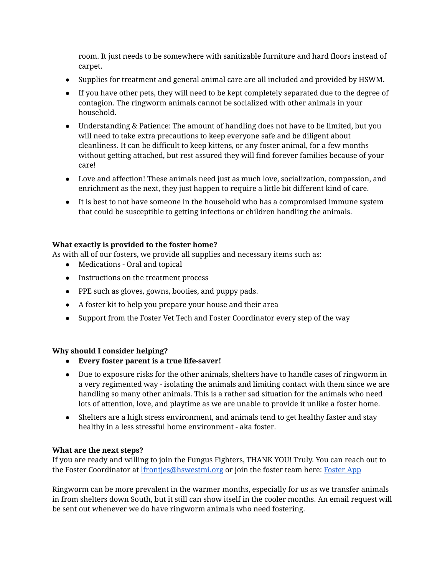room. It just needs to be somewhere with sanitizable furniture and hard floors instead of carpet.

- Supplies for treatment and general animal care are all included and provided by HSWM.
- If you have other pets, they will need to be kept completely separated due to the degree of contagion. The ringworm animals cannot be socialized with other animals in your household.
- Understanding & Patience: The amount of handling does not have to be limited, but you will need to take extra precautions to keep everyone safe and be diligent about cleanliness. It can be difficult to keep kittens, or any foster animal, for a few months without getting attached, but rest assured they will find forever families because of your care!
- Love and affection! These animals need just as much love, socialization, compassion, and enrichment as the next, they just happen to require a little bit different kind of care.
- It is best to not have someone in the household who has a compromised immune system that could be susceptible to getting infections or children handling the animals.

# **What exactly is provided to the foster home?**

As with all of our fosters, we provide all supplies and necessary items such as:

- Medications Oral and topical
- Instructions on the treatment process
- PPE such as gloves, gowns, booties, and puppy pads.
- A foster kit to help you prepare your house and their area
- Support from the Foster Vet Tech and Foster Coordinator every step of the way

# **Why should I consider helping?**

- **● Every foster parent is a true life-saver!**
- Due to exposure risks for the other animals, shelters have to handle cases of ringworm in a very regimented way - isolating the animals and limiting contact with them since we are handling so many other animals. This is a rather sad situation for the animals who need lots of attention, love, and playtime as we are unable to provide it unlike a foster home.
- Shelters are a high stress environment, and animals tend to get healthy faster and stay healthy in a less stressful home environment - aka foster.

### **What are the next steps?**

If you are ready and willing to join the Fungus Fighters, THANK YOU! Truly. You can reach out to the [Foster](https://form.jotform.com/HSWM/foster-caretaker-application-) Coordinator at *[lfrontjes@hswestmi.org](mailto:lfrontjes@hswestmi.org)* or join the foster team here: Foster App

Ringworm can be more prevalent in the warmer months, especially for us as we transfer animals in from shelters down South, but it still can show itself in the cooler months. An email request will be sent out whenever we do have ringworm animals who need fostering.